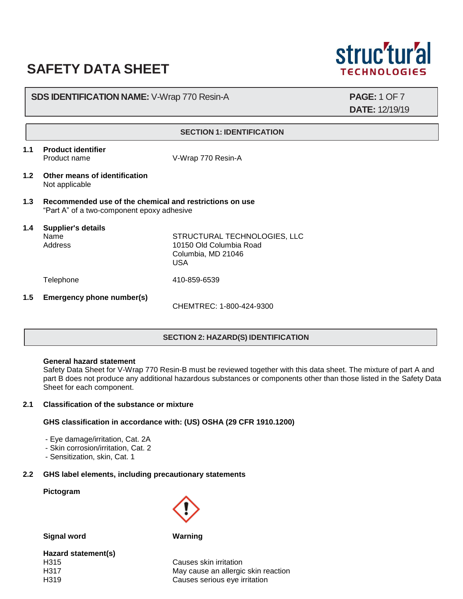# **SAFETY DATA SHEET**



# **SDS IDENTIFICATION NAME:** V-Wrap 770 Resin-A **PAGE:** 1 OF 7

**DATE:** 12/19/19

#### **SECTION 1: IDENTIFICATION**

**1.1 Product identifier**

Product name V-Wrap 770 Resin-A

- **1.2 Other means of identification** Not applicable
- **1.3 Recommended use of the chemical and restrictions on use** "Part A" of a two-component epoxy adhesive
- **1.4 Supplier's details** Name STRUCTURAL TECHNOLOGIES, LLC<br>Address 10150 Old Columbia Road 10150 Old Columbia Road Columbia, MD 21046 USA Telephone 410-859-6539 **1.5 Emergency phone number(s)** CHEMTREC: 1-800-424-9300

# **SECTION 2: HAZARD(S) IDENTIFICATION**

#### **General hazard statement**

Safety Data Sheet for V-Wrap 770 Resin-B must be reviewed together with this data sheet. The mixture of part A and part B does not produce any additional hazardous substances or components other than those listed in the Safety Data Sheet for each component.

# **2.1 Classification of the substance or mixture**

## **GHS classification in accordance with: (US) OSHA (29 CFR 1910.1200)**

- Eye damage/irritation, Cat. 2A
- Skin corrosion/irritation, Cat. 2
- Sensitization, skin, Cat. 1

# **2.2 GHS label elements, including precautionary statements**

## **Pictogram**

**Signal word Warning**

**Hazard statement(s)** H315 Causes skin irritation

H317 May cause an allergic skin reaction H319 Causes serious eye irritation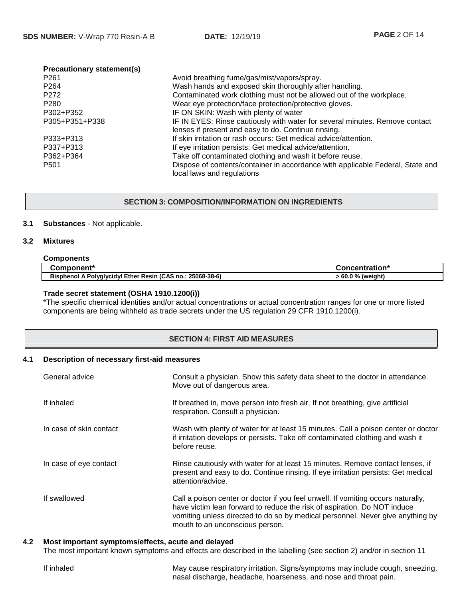| <b>Precautionary statement(s)</b> |                                                                                |
|-----------------------------------|--------------------------------------------------------------------------------|
| P <sub>261</sub>                  | Avoid breathing fume/gas/mist/vapors/spray.                                    |
| P <sub>264</sub>                  | Wash hands and exposed skin thoroughly after handling.                         |
| P <sub>272</sub>                  | Contaminated work clothing must not be allowed out of the workplace.           |
| P <sub>280</sub>                  | Wear eye protection/face protection/protective gloves.                         |
| P302+P352                         | IF ON SKIN: Wash with plenty of water                                          |
| P305+P351+P338                    | IF IN EYES: Rinse cautiously with water for several minutes. Remove contact    |
|                                   | lenses if present and easy to do. Continue rinsing.                            |
| P333+P313                         | If skin irritation or rash occurs: Get medical advice/attention.               |
| P337+P313                         | If eye irritation persists: Get medical advice/attention.                      |
| P362+P364                         | Take off contaminated clothing and wash it before reuse.                       |
| P <sub>501</sub>                  | Dispose of contents/container in accordance with applicable Federal, State and |
|                                   | local laws and regulations                                                     |

## **SECTION 3: COMPOSITION/INFORMATION ON INGREDIENTS**

## **3.1 Substances** - Not applicable.

#### **3.2 Mixtures**

| <b>Components</b>                                          |                   |
|------------------------------------------------------------|-------------------|
| Component*                                                 | Concentration*    |
| Bisphenol A Polyglycidyl Ether Resin (CAS no.: 25068-38-6) | > 60.0 % (weight) |

## **Trade secret statement (OSHA 1910.1200(i))**

\*The specific chemical identities and/or actual concentrations or actual concentration ranges for one or more listed components are being withheld as trade secrets under the US regulation 29 CFR 1910.1200(i).

# **SECTION 4: FIRST AID MEASURES**

#### **4.1 Description of necessary first-aid measures**

| General advice          | Consult a physician. Show this safety data sheet to the doctor in attendance.<br>Move out of dangerous area.                                                                                                                                                                      |
|-------------------------|-----------------------------------------------------------------------------------------------------------------------------------------------------------------------------------------------------------------------------------------------------------------------------------|
| If inhaled              | If breathed in, move person into fresh air. If not breathing, give artificial<br>respiration. Consult a physician.                                                                                                                                                                |
| In case of skin contact | Wash with plenty of water for at least 15 minutes. Call a poison center or doctor<br>if irritation develops or persists. Take off contaminated clothing and wash it<br>before reuse.                                                                                              |
| In case of eye contact  | Rinse cautiously with water for at least 15 minutes. Remove contact lenses, if<br>present and easy to do. Continue rinsing. If eye irritation persists: Get medical<br>attention/advice.                                                                                          |
| If swallowed            | Call a poison center or doctor if you feel unwell. If vomiting occurs naturally,<br>have victim lean forward to reduce the risk of aspiration. Do NOT induce<br>vomiting unless directed to do so by medical personnel. Never give anything by<br>mouth to an unconscious person. |

#### **4.2 Most important symptoms/effects, acute and delayed**

The most important known symptoms and effects are described in the labelling (see section 2) and/or in section 11

| If inhaled | May cause respiratory irritation. Signs/symptoms may include cough, sneezing, |
|------------|-------------------------------------------------------------------------------|
|            | nasal discharge, headache, hoarseness, and nose and throat pain.              |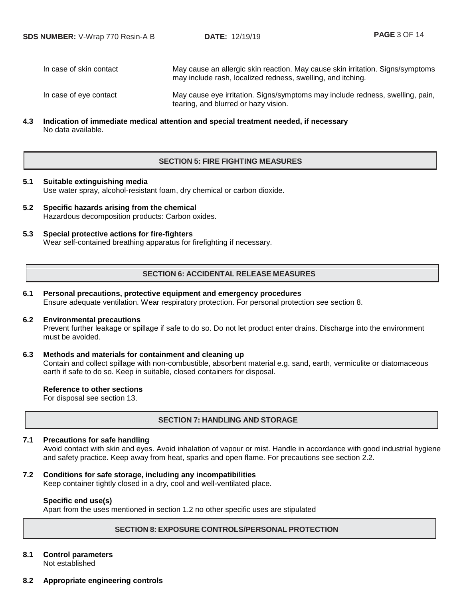In case of skin contact May cause an allergic skin reaction. May cause skin irritation. Signs/symptoms may include rash, localized redness, swelling, and itching. In case of eye contact May cause eye irritation. Signs/symptoms may include redness, swelling, pain,

**4.3 Indication of immediate medical attention and special treatment needed, if necessary** No data available.

## **SECTION 5: FIRE FIGHTING MEASURES**

tearing, and blurred or hazy vision.

## **5.1 Suitable extinguishing media** Use water spray, alcohol-resistant foam, dry chemical or carbon dioxide.

- **5.2 Specific hazards arising from the chemical** Hazardous decomposition products: Carbon oxides.
- **5.3 Special protective actions for fire-fighters** Wear self-contained breathing apparatus for firefighting if necessary.

## **SECTION 6: ACCIDENTAL RELEASE MEASURES**

## **6.1 Personal precautions, protective equipment and emergency procedures** Ensure adequate ventilation. Wear respiratory protection. For personal protection see section 8.

#### **6.2 Environmental precautions**

Prevent further leakage or spillage if safe to do so. Do not let product enter drains. Discharge into the environment must be avoided.

#### **6.3 Methods and materials for containment and cleaning up**

Contain and collect spillage with non-combustible, absorbent material e.g. sand, earth, vermiculite or diatomaceous earth if safe to do so. Keep in suitable, closed containers for disposal.

#### **Reference to other sections**

For disposal see section 13.

# **SECTION 7: HANDLING AND STORAGE**

#### **7.1 Precautions for safe handling**

Avoid contact with skin and eyes. Avoid inhalation of vapour or mist. Handle in accordance with good industrial hygiene and safety practice. Keep away from heat, sparks and open flame. For precautions see section 2.2.

#### **7.2 Conditions for safe storage, including any incompatibilities**

Keep container tightly closed in a dry, cool and well-ventilated place.

## **Specific end use(s)**

Apart from the uses mentioned in section 1.2 no other specific uses are stipulated

## **SECTION 8: EXPOSURE CONTROLS/PERSONAL PROTECTION**

# **8.1 Control parameters**

Not established

**8.2 Appropriate engineering controls**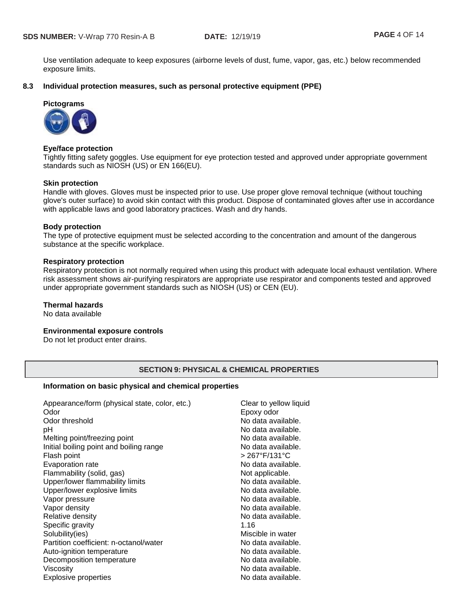Use ventilation adequate to keep exposures (airborne levels of dust, fume, vapor, gas, etc.) below recommended exposure limits.

## **8.3 Individual protection measures, such as personal protective equipment (PPE)**

# **Pictograms**



## **Eye/face protection**

Tightly fitting safety goggles. Use equipment for eye protection tested and approved under appropriate government standards such as NIOSH (US) or EN 166(EU).

## **Skin protection**

Handle with gloves. Gloves must be inspected prior to use. Use proper glove removal technique (without touching glove's outer surface) to avoid skin contact with this product. Dispose of contaminated gloves after use in accordance with applicable laws and good laboratory practices. Wash and dry hands.

## **Body protection**

The type of protective equipment must be selected according to the concentration and amount of the dangerous substance at the specific workplace.

## **Respiratory protection**

Respiratory protection is not normally required when using this product with adequate local exhaust ventilation. Where risk assessment shows air-purifying respirators are appropriate use respirator and components tested and approved under appropriate government standards such as NIOSH (US) or CEN (EU).

## **Thermal hazards**

No data available

#### **Environmental exposure controls**

Do not let product enter drains.

## **SECTION 9: PHYSICAL & CHEMICAL PROPERTIES**

## **Information on basic physical and chemical properties**

| Appearance/form (physical state, color, etc.)<br>Odor | Clea<br>Epo: |
|-------------------------------------------------------|--------------|
| Odor threshold                                        | No c         |
| рH                                                    | No c         |
| Melting point/freezing point                          | No c         |
| Initial boiling point and boiling range               | No c         |
| Flash point                                           | > 26         |
| Evaporation rate                                      | No c         |
| Flammability (solid, gas)                             | Not :        |
| Upper/lower flammability limits                       | No c         |
| Upper/lower explosive limits                          | No c         |
| Vapor pressure                                        | No c         |
| Vapor density                                         | No c         |
| Relative density                                      | No c         |
| Specific gravity                                      | 1.16         |
| Solubility(ies)                                       | Misc         |
| Partition coefficient: n-octanol/water                | No c         |
| Auto-ignition temperature                             | No c         |
| Decomposition temperature                             | No c         |
| Viscosity                                             | No c         |
| <b>Explosive properties</b>                           | No c         |

Clear to yellow liquid Epoxy odor No data available. No data available. No data available. No data available. Flash point > 267°F/131°C No data available. Not applicable. No data available. No data available. No data available. No data available. No data available. Miscible in water No data available. No data available. No data available. No data available. No data available.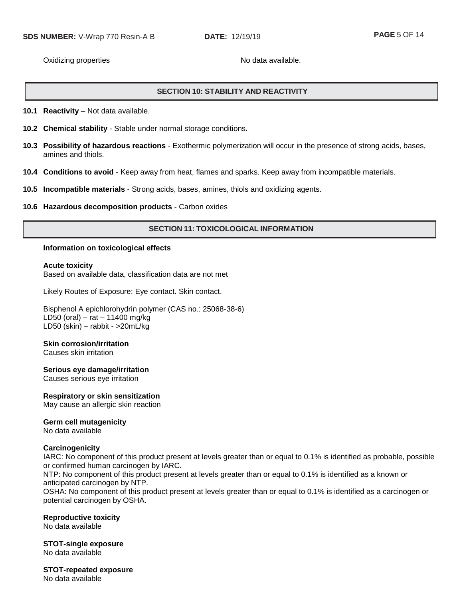Oxidizing properties No data available.

# **SECTION 10: STABILITY AND REACTIVITY**

**10.1 Reactivity** – Not data available.

- **10.2 Chemical stability** Stable under normal storage conditions.
- **10.3 Possibility of hazardous reactions** Exothermic polymerization will occur in the presence of strong acids, bases, amines and thiols.
- **10.4 Conditions to avoid** Keep away from heat, flames and sparks. Keep away from incompatible materials.
- **10.5 Incompatible materials** Strong acids, bases, amines, thiols and oxidizing agents.
- **10.6 Hazardous decomposition products** Carbon oxides

## **SECTION 11: TOXICOLOGICAL INFORMATION**

#### **Information on toxicological effects**

**Acute toxicity**

Based on available data, classification data are not met

Likely Routes of Exposure: Eye contact. Skin contact.

Bisphenol A epichlorohydrin polymer (CAS no.: 25068-38-6) LD50 (oral) – rat – 11400 mg/kg LD50 (skin) – rabbit - >20mL/kg

#### **Skin corrosion/irritation**

Causes skin irritation

#### **Serious eye damage/irritation**

Causes serious eye irritation

## **Respiratory or skin sensitization**

May cause an allergic skin reaction

#### **Germ cell mutagenicity**

No data available

#### **Carcinogenicity**

IARC: No component of this product present at levels greater than or equal to 0.1% is identified as probable, possible or confirmed human carcinogen by IARC.

NTP: No component of this product present at levels greater than or equal to 0.1% is identified as a known or anticipated carcinogen by NTP.

OSHA: No component of this product present at levels greater than or equal to 0.1% is identified as a carcinogen or potential carcinogen by OSHA.

#### **Reproductive toxicity**

No data available

**STOT-single exposure** No data available

**STOT-repeated exposure** No data available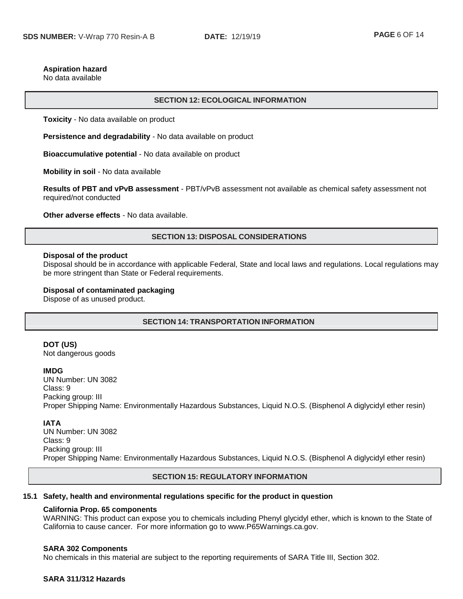#### **Aspiration hazard**

No data available

#### **SECTION 12: ECOLOGICAL INFORMATION**

**Toxicity** - No data available on product

**Persistence and degradability** - No data available on product

**Bioaccumulative potential** - No data available on product

**Mobility in soil** - No data available

**Results of PBT and vPvB assessment** - PBT/vPvB assessment not available as chemical safety assessment not required/not conducted

**Other adverse effects** - No data available.

## **SECTION 13: DISPOSAL CONSIDERATIONS**

#### **Disposal of the product**

Disposal should be in accordance with applicable Federal, State and local laws and regulations. Local regulations may be more stringent than State or Federal requirements.

#### **Disposal of contaminated packaging**

Dispose of as unused product.

## **SECTION 14: TRANSPORTATION INFORMATION**

## **DOT (US)**

Not dangerous goods

#### **IMDG**

UN Number: UN 3082 Class: 9 Packing group: III Proper Shipping Name: Environmentally Hazardous Substances, Liquid N.O.S. (Bisphenol A diglycidyl ether resin)

#### **IATA**

UN Number: UN 3082 Class: 9 Packing group: III Proper Shipping Name: Environmentally Hazardous Substances, Liquid N.O.S. (Bisphenol A diglycidyl ether resin)

#### **SECTION 15: REGULATORY INFORMATION**

#### **15.1 Safety, health and environmental regulations specific for the product in question**

#### **California Prop. 65 components**

WARNING: This product can expose you to chemicals including Phenyl glycidyl ether, which is known to the State of California to cause cancer. For more information go to www.P65Warnings.ca.gov.

#### **SARA 302 Components**

No chemicals in this material are subject to the reporting requirements of SARA Title III, Section 302.

## **SARA 311/312 Hazards**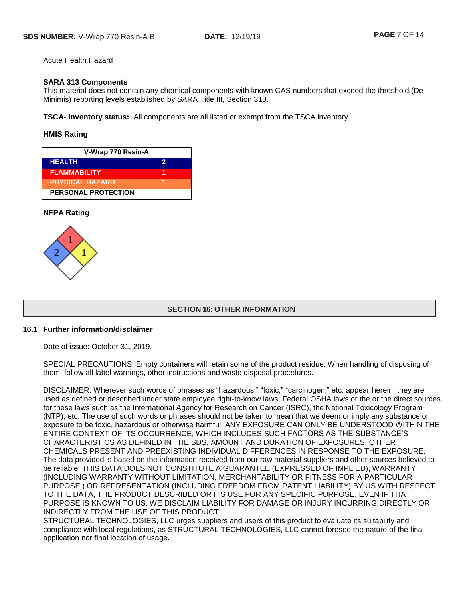Acute Health Hazard

## **SARA 313 Components**

This material does not contain any chemical components with known CAS numbers that exceed the threshold (De Minimis) reporting levels established by SARA Title III, Section 313.

**TSCA- Inventory status:** All components are all listed or exempt from the TSCA inventory.

#### **HMIS Rating**

| V-Wrap 770 Resin-A         |   |
|----------------------------|---|
| <b>HEALTH</b>              | 2 |
| <b>FLAMMABILITY</b>        |   |
| <b>PHYSICAL HAZARD</b>     |   |
| <b>PERSONAL PROTECTION</b> |   |

## **NFPA Rating**



## **SECTION 16: OTHER INFORMATION**

#### **16.1 Further information/disclaimer**

Date of issue: October 31, 2019.

SPECIAL PRECAUTIONS: Empty containers will retain some of the product residue. When handling of disposing of them, follow all label warnings, other instructions and waste disposal procedures.

DISCLAIMER: Wherever such words of phrases as "hazardous," "toxic," "carcinogen," etc. appear herein, they are used as defined or described under state employee right-to-know laws, Federal OSHA laws or the or the direct sources for these laws such as the International Agency for Research on Cancer (ISRC), the National Toxicology Program (NTP), etc. The use of such words or phrases should not be taken to mean that we deem or imply any substance or exposure to be toxic, hazardous or otherwise harmful. ANY EXPOSURE CAN ONLY BE UNDERSTOOD WITHIN THE ENTIRE CONTEXT OF ITS OCCURRENCE, WHICH INCLUDES SUCH FACTORS AS THE SUBSTANCE'S CHARACTERISTICS AS DEFINED IN THE SDS, AMOUNT AND DURATION OF EXPOSURES, OTHER CHEMICALS PRESENT AND PREEXISTING INDIVIDUAL DIFFERENCES IN RESPONSE TO THE EXPOSURE. The data provided is based on the information received from our raw material suppliers and other sources believed to be reliable. THIS DATA DOES NOT CONSTITUTE A GUARANTEE (EXPRESSED OF IMPLIED), WARRANTY (INCLUDING WARRANTY WITHOUT LIMITATION, MERCHANTABILITY OR FITNESS FOR A PARTICULAR PURPOSE ) OR REPRESENTATION (INCLUDING FREEDOM FROM PATENT LIABILITY) BY US WITH RESPECT TO THE DATA, THE PRODUCT DESCRIBED OR ITS USE FOR ANY SPECIFIC PURPOSE, EVEN IF THAT PURPOSE IS KNOWN TO US. WE DISCLAIM LIABILITY FOR DAMAGE OR INJURY INCURRING DIRECTLY OR INDIRECTLY FROM THE USE OF THIS PRODUCT.

STRUCTURAL TECHNOLOGIES, LLC urges suppliers and users of this product to evaluate its suitability and compliance with local regulations, as STRUCTURAL TECHNOLOGIES, LLC cannot foresee the nature of the final application nor final location of usage.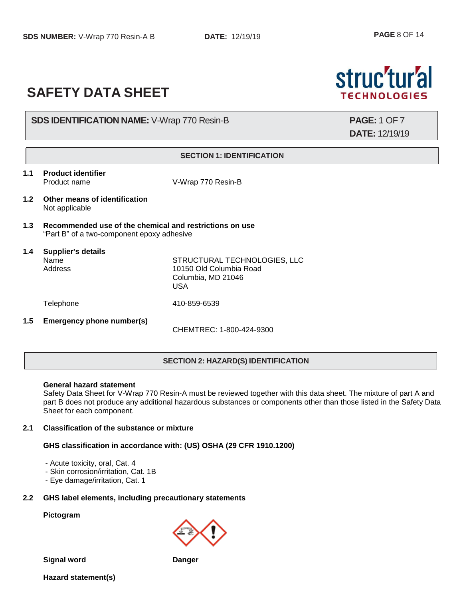# **SAFETY DATA SHEET**

# **SDS IDENTIFICATION NAME:** V-Wrap 770 Resin-B **PAGE:** 1 OF 7

**DATE:** 12/19/19

struc'tur'al

**TECHNOLOGIES** 

## **SECTION 1: IDENTIFICATION**

**1.1 Product identifier**

Product name V-Wrap 770 Resin-B

- **1.2 Other means of identification** Not applicable
- **1.3 Recommended use of the chemical and restrictions on use** "Part B" of a two-component epoxy adhesive

# **1.4 Supplier's details**

Name STRUCTURAL TECHNOLOGIES, LLC Address 10150 Old Columbia Road Columbia, MD 21046 USA

Telephone 410-859-6539

**1.5 Emergency phone number(s)**

CHEMTREC: 1-800-424-9300

# **SECTION 2: HAZARD(S) IDENTIFICATION**

## **General hazard statement**

Safety Data Sheet for V-Wrap 770 Resin-A must be reviewed together with this data sheet. The mixture of part A and part B does not produce any additional hazardous substances or components other than those listed in the Safety Data Sheet for each component.

# **2.1 Classification of the substance or mixture**

# **GHS classification in accordance with: (US) OSHA (29 CFR 1910.1200)**

- Acute toxicity, oral, Cat. 4
- Skin corrosion/irritation, Cat. 1B
- Eye damage/irritation, Cat. 1

## **2.2 GHS label elements, including precautionary statements**

#### **Pictogram**

**Signal word Danger**

**Hazard statement(s)**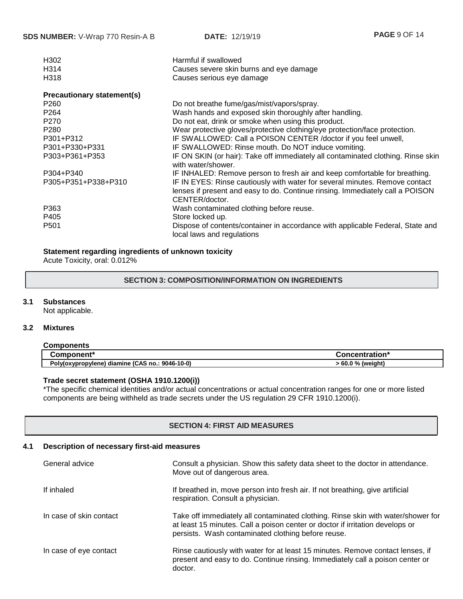| H302<br>H314<br>H318              | Harmful if swallowed<br>Causes severe skin burns and eye damage<br>Causes serious eye damage                 |
|-----------------------------------|--------------------------------------------------------------------------------------------------------------|
| <b>Precautionary statement(s)</b> |                                                                                                              |
| P <sub>260</sub>                  | Do not breathe fume/gas/mist/vapors/spray.                                                                   |
| P <sub>264</sub>                  | Wash hands and exposed skin thoroughly after handling.                                                       |
| P <sub>270</sub>                  | Do not eat, drink or smoke when using this product.                                                          |
| P <sub>280</sub>                  | Wear protective gloves/protective clothing/eye protection/face protection.                                   |
| P301+P312                         | IF SWALLOWED: Call a POISON CENTER / doctor if you feel unwell,                                              |
| P301+P330+P331                    | IF SWALLOWED: Rinse mouth. Do NOT induce vomiting.                                                           |
| P303+P361+P353                    | IF ON SKIN (or hair): Take off immediately all contaminated clothing. Rinse skin<br>with water/shower.       |
| P304+P340                         | IF INHALED: Remove person to fresh air and keep comfortable for breathing.                                   |
| P305+P351+P338+P310               | IF IN EYES: Rinse cautiously with water for several minutes. Remove contact                                  |
|                                   | lenses if present and easy to do. Continue rinsing. Immediately call a POISON<br>CENTER/doctor.              |
| P363                              | Wash contaminated clothing before reuse.                                                                     |
| P405                              | Store locked up.                                                                                             |
| P <sub>501</sub>                  | Dispose of contents/container in accordance with applicable Federal, State and<br>local laws and regulations |

## **Statement regarding ingredients of unknown toxicity**

Acute Toxicity, oral: 0.012%

## **SECTION 3: COMPOSITION/INFORMATION ON INGREDIENTS**

## **3.1 Substances**

Not applicable.

## **3.2 Mixtures**

| <b>Components</b>                               |                   |
|-------------------------------------------------|-------------------|
| <b>Component*</b>                               | Concentration*    |
| Poly(oxypropylene) diamine (CAS no.: 9046-10-0) | > 60.0 % (weight) |

## **Trade secret statement (OSHA 1910.1200(i))**

\*The specific chemical identities and/or actual concentrations or actual concentration ranges for one or more listed components are being withheld as trade secrets under the US regulation 29 CFR 1910.1200(i).

## **SECTION 4: FIRST AID MEASURES**

# **4.1 Description of necessary first-aid measures**

| General advice          | Consult a physician. Show this safety data sheet to the doctor in attendance.<br>Move out of dangerous area.                                                                                                            |
|-------------------------|-------------------------------------------------------------------------------------------------------------------------------------------------------------------------------------------------------------------------|
| If inhaled              | If breathed in, move person into fresh air. If not breathing, give artificial<br>respiration. Consult a physician.                                                                                                      |
| In case of skin contact | Take off immediately all contaminated clothing. Rinse skin with water/shower for<br>at least 15 minutes. Call a poison center or doctor if irritation develops or<br>persists. Wash contaminated clothing before reuse. |
| In case of eye contact  | Rinse cautiously with water for at least 15 minutes. Remove contact lenses, if<br>present and easy to do. Continue rinsing. Immediately call a poison center or<br>doctor.                                              |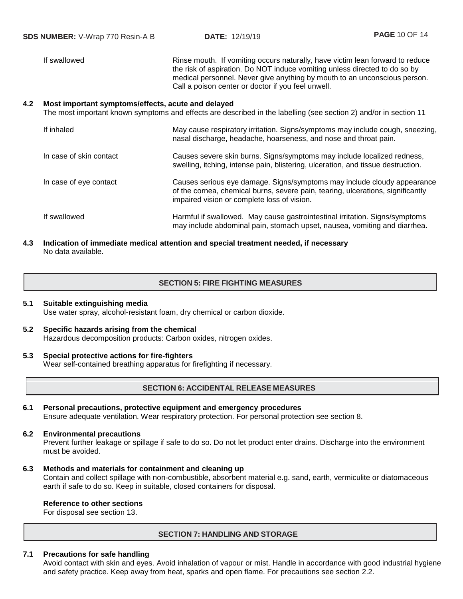If swallowed **Rinse mouth.** If vomiting occurs naturally, have victim lean forward to reduce the risk of aspiration. Do NOT induce vomiting unless directed to do so by medical personnel. Never give anything by mouth to an unconscious person. Call a poison center or doctor if you feel unwell.

## **4.2 Most important symptoms/effects, acute and delayed**

The most important known symptoms and effects are described in the labelling (see section 2) and/or in section 11

| If inhaled              | May cause respiratory irritation. Signs/symptoms may include cough, sneezing,<br>nasal discharge, headache, hoarseness, and nose and throat pain.                                                         |
|-------------------------|-----------------------------------------------------------------------------------------------------------------------------------------------------------------------------------------------------------|
| In case of skin contact | Causes severe skin burns. Signs/symptoms may include localized redness,<br>swelling, itching, intense pain, blistering, ulceration, and tissue destruction.                                               |
| In case of eye contact  | Causes serious eye damage. Signs/symptoms may include cloudy appearance<br>of the cornea, chemical burns, severe pain, tearing, ulcerations, significantly<br>impaired vision or complete loss of vision. |
| If swallowed            | Harmful if swallowed. May cause gastrointestinal irritation. Signs/symptoms<br>may include abdominal pain, stomach upset, nausea, vomiting and diarrhea.                                                  |

## **4.3 Indication of immediate medical attention and special treatment needed, if necessary** No data available.

# **SECTION 5: FIRE FIGHTING MEASURES**

## **5.1 Suitable extinguishing media** Use water spray, alcohol-resistant foam, dry chemical or carbon dioxide.

**5.2 Specific hazards arising from the chemical** Hazardous decomposition products: Carbon oxides, nitrogen oxides.

## **5.3 Special protective actions for fire-fighters** Wear self-contained breathing apparatus for firefighting if necessary.

## **SECTION 6: ACCIDENTAL RELEASE MEASURES**

**6.1 Personal precautions, protective equipment and emergency procedures** Ensure adequate ventilation. Wear respiratory protection. For personal protection see section 8.

## **6.2 Environmental precautions**

Prevent further leakage or spillage if safe to do so. Do not let product enter drains. Discharge into the environment must be avoided.

#### **6.3 Methods and materials for containment and cleaning up**

Contain and collect spillage with non-combustible, absorbent material e.g. sand, earth, vermiculite or diatomaceous earth if safe to do so. Keep in suitable, closed containers for disposal.

## **Reference to other sections**

For disposal see section 13.

#### **SECTION 7: HANDLING AND STORAGE**

## **7.1 Precautions for safe handling**

Avoid contact with skin and eyes. Avoid inhalation of vapour or mist. Handle in accordance with good industrial hygiene and safety practice. Keep away from heat, sparks and open flame. For precautions see section 2.2.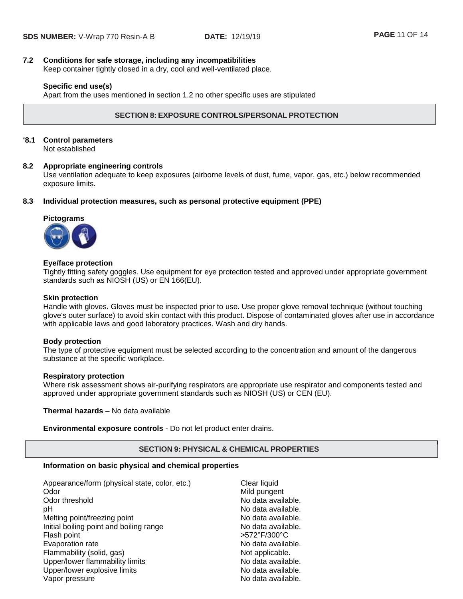# **7.2 Conditions for safe storage, including any incompatibilities**

Keep container tightly closed in a dry, cool and well-ventilated place.

## **Specific end use(s)**

Apart from the uses mentioned in section 1.2 no other specific uses are stipulated

## **SECTION 8: EXPOSURE CONTROLS/PERSONAL PROTECTION**

## **'8.1 Control parameters**

Not established

## **8.2 Appropriate engineering controls**

Use ventilation adequate to keep exposures (airborne levels of dust, fume, vapor, gas, etc.) below recommended exposure limits.

**8.3 Individual protection measures, such as personal protective equipment (PPE)**

## **Pictograms**



## **Eye/face protection**

Tightly fitting safety goggles. Use equipment for eye protection tested and approved under appropriate government standards such as NIOSH (US) or EN 166(EU).

#### **Skin protection**

Handle with gloves. Gloves must be inspected prior to use. Use proper glove removal technique (without touching glove's outer surface) to avoid skin contact with this product. Dispose of contaminated gloves after use in accordance with applicable laws and good laboratory practices. Wash and dry hands.

#### **Body protection**

The type of protective equipment must be selected according to the concentration and amount of the dangerous substance at the specific workplace.

#### **Respiratory protection**

Where risk assessment shows air-purifying respirators are appropriate use respirator and components tested and approved under appropriate government standards such as NIOSH (US) or CEN (EU).

**Thermal hazards** – No data available

**Environmental exposure controls** - Do not let product enter drains.

#### **SECTION 9: PHYSICAL & CHEMICAL PROPERTIES**

## **Information on basic physical and chemical properties**

| Appearance/form (physical state, color, etc.) | Clear liquid       |
|-----------------------------------------------|--------------------|
| Odor                                          | Mild pungent       |
| Odor threshold                                | No data available. |
| рH                                            | No data available. |
| Melting point/freezing point                  | No data available. |
| Initial boiling point and boiling range       | No data available. |
| Flash point                                   | >572°F/300°C       |
| Evaporation rate                              | No data available. |
| Flammability (solid, gas)                     | Not applicable.    |
| Upper/lower flammability limits               | No data available. |
| Upper/lower explosive limits                  | No data available. |
| Vapor pressure                                | No data available. |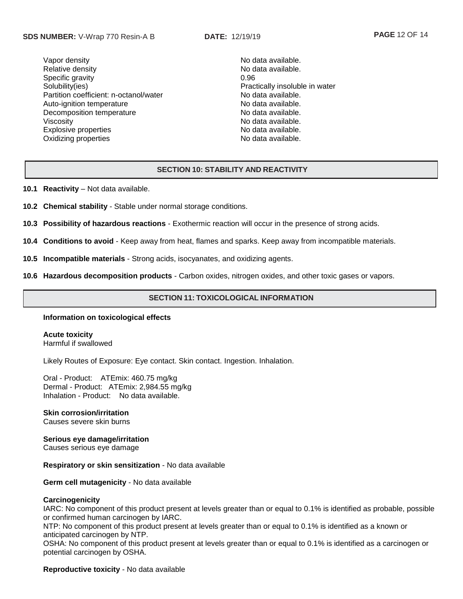Vapor density and the set of the set of the No data available. Relative density **No data available.** No data available. Specific gravity 0.96 Solubility(ies) example in the example of the example of the Practically insoluble in water Partition coefficient: n-octanol/water No data available. Auto-ignition temperature No data available. Decomposition temperature No data available. Viscosity **No data available.** Explosive properties **No assume that a set of the set of the set of the set of the set of the set of the set of the set of the set of the set of the set of the set of the set of the set of the set of the set of the set of** Oxidizing properties No data available.

## **SECTION 10: STABILITY AND REACTIVITY**

- **10.1 Reactivity** Not data available.
- **10.2 Chemical stability** Stable under normal storage conditions.
- **10.3 Possibility of hazardous reactions** Exothermic reaction will occur in the presence of strong acids.
- **10.4 Conditions to avoid** Keep away from heat, flames and sparks. Keep away from incompatible materials.
- **10.5 Incompatible materials** Strong acids, isocyanates, and oxidizing agents.
- **10.6 Hazardous decomposition products** Carbon oxides, nitrogen oxides, and other toxic gases or vapors.

## **SECTION 11: TOXICOLOGICAL INFORMATION**

#### **Information on toxicological effects**

**Acute toxicity** Harmful if swallowed

Likely Routes of Exposure: Eye contact. Skin contact. Ingestion. Inhalation.

Oral - Product: ATEmix: 460.75 mg/kg Dermal - Product: ATEmix: 2,984.55 mg/kg Inhalation - Product: No data available.

## **Skin corrosion/irritation**

Causes severe skin burns

**Serious eye damage/irritation** Causes serious eye damage

#### **Respiratory or skin sensitization** - No data available

**Germ cell mutagenicity** - No data available

#### **Carcinogenicity**

IARC: No component of this product present at levels greater than or equal to 0.1% is identified as probable, possible or confirmed human carcinogen by IARC.

NTP: No component of this product present at levels greater than or equal to 0.1% is identified as a known or anticipated carcinogen by NTP.

OSHA: No component of this product present at levels greater than or equal to 0.1% is identified as a carcinogen or potential carcinogen by OSHA.

## **Reproductive toxicity** - No data available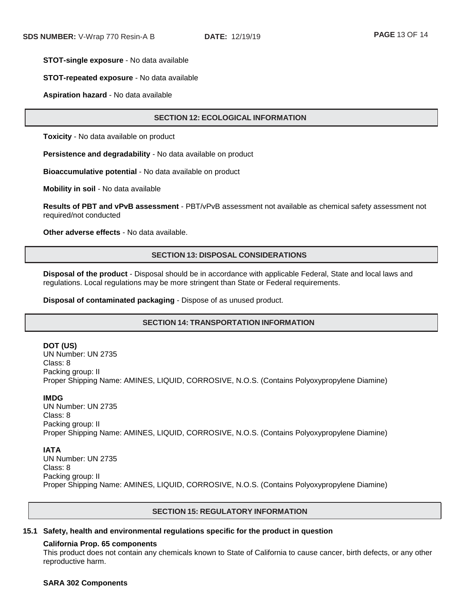#### **STOT-single exposure** - No data available

#### **STOT-repeated exposure** - No data available

#### **Aspiration hazard** - No data available

## **SECTION 12: ECOLOGICAL INFORMATION**

**Toxicity** - No data available on product

**Persistence and degradability** - No data available on product

**Bioaccumulative potential** - No data available on product

**Mobility in soil** - No data available

**Results of PBT and vPvB assessment** - PBT/vPvB assessment not available as chemical safety assessment not required/not conducted

**Other adverse effects** - No data available.

#### **SECTION 13: DISPOSAL CONSIDERATIONS**

**Disposal of the product** - Disposal should be in accordance with applicable Federal, State and local laws and regulations. Local regulations may be more stringent than State or Federal requirements.

**Disposal of contaminated packaging** - Dispose of as unused product.

## **SECTION 14: TRANSPORTATION INFORMATION**

#### **DOT (US)**

UN Number: UN 2735 Class: 8 Packing group: II Proper Shipping Name: AMINES, LIQUID, CORROSIVE, N.O.S. (Contains Polyoxypropylene Diamine)

#### **IMDG**

UN Number: UN 2735 Class: 8 Packing group: II Proper Shipping Name: AMINES, LIQUID, CORROSIVE, N.O.S. (Contains Polyoxypropylene Diamine)

#### **IATA**

UN Number: UN 2735 Class: 8 Packing group: II Proper Shipping Name: AMINES, LIQUID, CORROSIVE, N.O.S. (Contains Polyoxypropylene Diamine)

#### **SECTION 15: REGULATORY INFORMATION**

#### **15.1 Safety, health and environmental regulations specific for the product in question**

## **California Prop. 65 components**

This product does not contain any chemicals known to State of California to cause cancer, birth defects, or any other reproductive harm.

#### **SARA 302 Components**